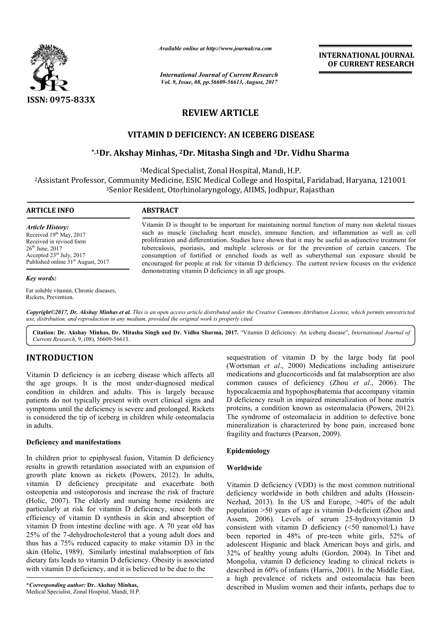

*Available online at http://www.journal http://www.journalcra.com*

*International Journal of Current Research Vol. 9, Issue, 08, pp.56609-56613, August, 2017* **INTERNATIONAL JOURNAL OF CURRENT RESEARCH** 

# **REVIEW ARTICLE**

# **VITAMIN D DEFICIENCY: AN ICEBERG DISEASE**

# **\*,1Dr. Akshay Minhas Dr. Minhas, 2Dr. Mitasha Singh and 3Dr. Vidhu Sharma Dr. Sharma**

1Medical Specialist, Zonal Hospital, Mandi, H.P.

2Assistant Professor, Community Medicine, Medical Assistant ESIC Medical College and Hospital, Faridabad, Haryana, 121001 3Senior Resident, Otorhinolaryngology, AIIMS, Jodhpur, Rajasthan Senior Community Medicine, ESIC Medical College and Hospital, Faridabad, Haryana, 121001<br>Senior Resident, Otorhinolaryngology, AIIMS, Jodhpur, Rajasthan

#### **ARTICLE INFO ABSTRACT**

*Article History:* Received 19<sup>th</sup> May, 2017 Received in revised form  $26<sup>th</sup>$  June,  $2017$ Accepted 23rd July, 2017 Published online 31<sup>st</sup> August, 2017

#### *Key words:*

Fat soluble vitamin, Chronic diseases, Rickets, Prevention.

Vitamin D is thought to be important for maintaining normal function of many non skeletal tissues such as muscle (including heart muscle), immune function, and inflammation as well as cell proliferation and differentiation. Studies have shown that it may be useful as adjunctive treatment for Vitamin D is thought to be important for maintaining normal function of many non skeletal tissues<br>such as muscle (including heart muscle), immune function, and inflammation as well as cell<br>proliferation and differentiation consumption of fortified or enriched foods as well as suberythemal sun exposure should be consumption of fortified or enriched foods as well as suberythemal sun exposure should be encouraged for people at risk for vitamin D deficiency. The current review focuses on the evidence demonstrating vitamin D deficiency in all age groups.

*Copyright©2017, Dr. Akshay Minhas et al. This is an open access article distributed under the Creative Commons Att Attribution License, which ribution permits unrestricted use, distribution, and reproduction in any medium, provided the original work is properly cited.*

Citation: Dr. Akshay Minhas, Dr. Mitasha Singh and Dr. Vidhu Sharma, 2017. "Vitamin D deficiency: An iceberg disease", *International Journal of Current Research*, 9, (08), 56609-56613.

# **INTRODUCTION**

Vitamin D deficiency is an iceberg disease which affects all the age groups. It is the most under-diagnosed medical condition in children and adults. This is largely because patients do not typically present with overt clinical signs and symptoms until the deficiency is severe and prolonged. Rickets is considered the tip of iceberg in children while osteomalacia in adults.

# **Deficiency and manifestations**

In children prior to epiphyseal fusion, Vitamin D deficiency results in growth retardation associated with an expansion of growth plate known as rickets (Powers, 2012). In adults, vitamin D deficiency precipitate and exacerbate both osteopenia and osteoporosis and increase the risk of fracture (Holic, 2007). The elderly and nursing home residents are particularly at risk for vitamin D deficiency, since both the efficiency of vitamin D synthesis in skin and absorption of vitamin D from intestine decline with age. A 70 year old has 25% of the 7-dehydrocholesterol that a young adult does and thus has a 75% reduced capacity to make vitamin D3 in the skin (Holic, 1989). Similarly intestinal malabsorption of fats dietary fats leads to vitamin D deficiency. Obesity is associated with vitamin D deficiency, and it is believed to be due to the d osteoporosis and increase the risk of fracture<br>The elderly and nursing home residents are<br>risk for vitamin D deficiency, since both the<br>vitamin D synthesis in skin and absorption of<br>m intestine decline with age. A 70 yea

sequestration of vitamin D by the large body fat pool (Wortsman *et al*., 2000) Medications including antiseizure medications and glucocorticoids and fat malabsorption are also (Wortsman *et al.*, 2000) Medications including antiseizure medications and glucocorticoids and fat malabsorption are also common causes of deficiency (Zhou *et al.*, 2006). The hypocalcaemia and hypophosphatemia that accompany vitamin hypocalcaemia and hypophosphatemia that accompany vitamin<br>D deficiency result in impaired mineralization of bone matrix proteins, a condition known as osteomalacia (Powers, 2012). The syndrome of osteomalacia in addition to defective bone mineralization is characterized by bone pain, increased bone fragility and fractures (Pearson, 2009). a in addition to defective<br>i by bone pain, increased<br>, 2009).

# **Epidemiology**

### **Worldwide**

Vitamin D deficiency (VDD) is the most common nutritional Vitamin D deficiency (VDD) is the most common nutritional deficiency worldwide in both children and adults (Hossein-Nezhad, 2013). In the US and Europe,  $>40\%$  of the adult Nezhad, 2013). In the US and Europe, >40% of the adult population >50 years of age is vitamin D-deficient (Zhou and Assem, 2006). Levels of serum 25 25-hydroxyvitamin D consistent with vitamin D deficiency  $(\leq 50 \text{ nanomol/L})$  have been reported in 48% of pre-teen white girls, 52% of adolescent Hispanic and black American boys and girls, and adolescent Hispanic and black American boys and girls, and 32% of healthy young adults (Gordon, 2004). In Tibet and Mongolia, vitamin D deficiency leading to clinical rickets is Mongolia, vitamin D deficiency leading to clinical rickets is described in 60% of infants (Harris, 2001). In the Middle East, a high prevalence of rickets and osteomalacia has been described in Muslim women and their infants, perhaps due to **INTERNATIONAL JOURNAL FORM SET AND THE SET AND THE SET AND THE SET AND A SURFACE AND SURFACE AND SURFACE SET AND A SURFACE SET AND A SURFACE SET AND A SURFACE SET AND SO SURFACE SURFACE SURFACE AND CONFIGR AND SO SURFACE**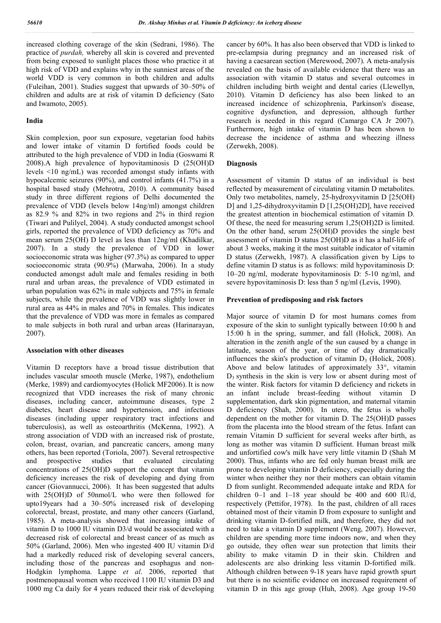increased clothing coverage of the skin (Sedrani, 1986). The practice of *purdah,* whereby all skin is covered and prevented from being exposed to sunlight places those who practice it at high risk of VDD and explains why in the sunniest areas of the world VDD is very common in both children and adults (Fuleihan, 2001). Studies suggest that upwards of 30–50% of children and adults are at risk of vitamin D deficiency (Sato and Iwamoto, 2005).

## **India**

Skin complexion, poor sun exposure, vegetarian food habits and lower intake of vitamin D fortified foods could be attributed to the high prevalence of VDD in India (Goswami R 2008).A high prevalence of hypovitaminosis D (25(OH)D levels <10 ng/mL) was recorded amongst study infants with hypocalcemic seizures (90%), and control infants (41.7%) in a hospital based study (Mehrotra, 2010). A community based study in three different regions of Delhi documented the prevalence of VDD (levels below 14ng/ml) amongst children as 82.9 % and 82% in two regions and 2% in third region (Tiwari and Pulilyel, 2004). A study conducted amongst school girls, reported the prevalence of VDD deficiency as 70% and mean serum 25(OH) D level as less than 12ng/ml (Khadilkar, 2007). In a study the prevalence of VDD in lower socioeconomic strata was higher (97.3%) as compared to upper socioeconomic strata (90.9%) (Marwaha, 2006). In a study conducted amongst adult male and females residing in both rural and urban areas, the prevalence of VDD estimated in urban population was 62% in male subjects and 75% in female subjects, while the prevalence of VDD was slightly lower in rural area as 44% in males and 70% in females. This indicates that the prevalence of VDD was more in females as compared to male subjects in both rural and urban areas (Harinarayan, 2007).

### **Association with other diseases**

Vitamin D receptors have a broad tissue distribution that includes vascular smooth muscle (Merke, 1987), endothelium (Merke, 1989) and cardiomyocytes (Holick MF2006). It is now recognized that VDD increases the risk of many chronic diseases, including cancer, autoimmune diseases, type 2 diabetes, heart disease and hypertension, and infectious diseases (including upper respiratory tract infections and tuberculosis), as well as osteoarthritis (McKenna, 1992). A strong association of VDD with an increased risk of prostate, colon, breast, ovarian, and pancreatic cancers, among many others, has been reported (Toriola, 2007). Several retrospective and prospective studies that evaluated circulating concentrations of 25(OH)D support the concept that vitamin deficiency increases the risk of developing and dying from cancer (Giovannucci, 2006). It has been suggested that adults with 25(OH)D of 50nmol/L who were then followed for upto19years had a 30–50% increased risk of developing colorectal, breast, prostate, and many other cancers (Garland, 1985). A meta-analysis showed that increasing intake of vitamin D to 1000 IU vitamin D3/d would be associated with a decreased risk of colorectal and breast cancer of as much as 50% (Garland, 2006). Men who ingested 400 IU vitamin D/d had a markedly reduced risk of developing several cancers, including those of the pancreas and esophagus and non-Hodgkin lymphoma. Lappe *et al*. 2006, reported that postmenopausal women who received 1100 IU vitamin D3 and 1000 mg Ca daily for 4 years reduced their risk of developing

cancer by 60%. It has also been observed that VDD is linked to pre-eclampsia during pregnancy and an increased risk of having a caesarean section (Merewood, 2007). A meta-analysis revealed on the basis of available evidence that there was an association with vitamin D status and several outcomes in children including birth weight and dental caries (Llewellyn, 2010). Vitamin D deficiency has also been linked to an increased incidence of schizophrenia, Parkinson's disease, cognitive dysfunction, and depression, although further research is needed in this regard (Camargo CA Jr 2007). Furthermore, high intake of vitamin D has been shown to decrease the incidence of asthma and wheezing illness (Zerwekh, 2008).

# **Diagnosis**

Assessment of vitamin D status of an individual is best reflected by measurement of circulating vitamin D metabolites. Only two metabolites, namely, 25-hydroxyvitamin D [25(OH) D] and 1,25-dihydroxyvitamin D [1,25(OH)2D], have received the greatest attention in biochemical estimation of vitamin D. Of these, the need for measuring serum 1,25(OH)2D is limited. On the other hand, serum 25(OH)D provides the single best assessment of vitamin D status 25(OH)D as it has a half-life of about 3 weeks, making it the most suitable indicator of vitamin D status (Zerwekh, 1987). A classification given by Lips to define vitamin D status is as follows: mild hypovitaminosis D: 10–20 ng/ml, moderate hypovitaminosis D: 5-10 ng/ml, and severe hypovitaminosis D: less than 5 ng/ml (Levis, 1990).

## **Prevention of predisposing and risk factors**

Major source of vitamin D for most humans comes from exposure of the skin to sunlight typically between 10:00 h and 15:00 h in the spring, summer, and fall (Holick, 2008). An alteration in the zenith angle of the sun caused by a change in latitude, season of the year, or time of day dramatically influences the skin's production of vitamin  $D_3$  (Holick, 2008). Above and below latitudes of approximately 33°, vitamin  $D_3$  synthesis in the skin is very low or absent during most of the winter. Risk factors for vitamin D deficiency and rickets in an infant include breast-feeding without vitamin D supplementation, dark skin pigmentation, and maternal vitamin D deficiency (Shah, 2000). In utero, the fetus is wholly dependent on the mother for vitamin D. The 25(OH)D passes from the placenta into the blood stream of the fetus. Infant can remain Vitamin D sufficient for several weeks after birth, as long as mother was vitamin D sufficient. Human breast milk and unfortified cow's milk have very little vitamin D (Shah M 2000). Thus, infants who are fed only human breast milk are prone to developing vitamin D deficiency, especially during the winter when neither they nor their mothers can obtain vitamin D from sunlight. Recommended adequate intake and RDA for children 0–1 and 1–18 year should be 400 and 600 IU/d, respectively (Pettifor, 1978). In the past, children of all races obtained most of their vitamin D from exposure to sunlight and drinking vitamin D-fortified milk, and therefore, they did not need to take a vitamin D supplement (Weng, 2007). However, children are spending more time indoors now, and when they go outside, they often wear sun protection that limits their ability to make vitamin D in their skin. Children and adolescents are also drinking less vitamin D-fortified milk. Although children between 9-18 years have rapid growth spurt but there is no scientific evidence on increased requirement of vitamin D in this age group (Huh, 2008). Age group 19-50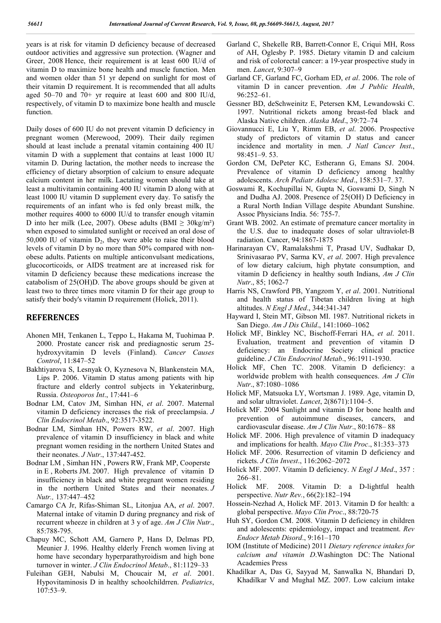years is at risk for vitamin D deficiency because of decreased outdoor activities and aggressive sun protection. (Wagner and Greer, 2008 Hence, their requirement is at least 600 IU/d of vitamin D to maximize bone health and muscle function. Men and women older than 51 yr depend on sunlight for most of their vitamin D requirement. It is recommended that all adults aged  $50-70$  and  $70+$  yr require at least 600 and 800 IU/d, respectively, of vitamin D to maximize bone health and muscle function.

Daily doses of 600 IU do not prevent vitamin D deficiency in pregnant women (Merewood, 2009). Their daily regimen should at least include a prenatal vitamin containing 400 IU vitamin D with a supplement that contains at least 1000 IU vitamin D. During lactation, the mother needs to increase the efficiency of dietary absorption of calcium to ensure adequate calcium content in her milk. Lactating women should take at least a multivitamin containing 400 IU vitamin D along with at least 1000 IU vitamin D supplement every day. To satisfy the requirements of an infant who is fed only breast milk, the mother requires 4000 to 6000 IU/d to transfer enough vitamin D into her milk (Lee, 2007). Obese adults (BMI  $\geq$  30kg/m<sup>2</sup>) when exposed to simulated sunlight or received an oral dose of 50,000 IU of vitamin  $D_2$ , they were able to raise their blood levels of vitamin D by no more than 50% compared with nonobese adults. Patients on multiple anticonvulsant medications, glucocorticoids, or AIDS treatment are at increased risk for vitamin D deficiency because these medications increase the catabolism of 25(OH)D. The above groups should be given at least two to three times more vitamin D for their age group to satisfy their body's vitamin D requirement (Holick, 2011).

# **REFERENCES**

- Ahonen MH, Tenkanen L, Teppo L, Hakama M, Tuohimaa P. 2000. Prostate cancer risk and prediagnostic serum 25 hydroxyvitamin D levels (Finland). *Cancer Causes Control*, 11:847–52
- Bakhtiyarova S, Lesnyak O, Kyznesova N, Blankenstein MA, Lips P. 2006. Vitamin D status among patients with hip fracture and elderly control subjects in Yekaterinburg, Russia. *Osteoporos Int*., 17:441–6
- Bodnar LM, Catov JM, Simhan HN, *et al*. 2007. Maternal vitamin D deficiency increases the risk of preeclampsia. *J Clin Endocrinol Metab*., 92:3517-3522.
- Bodnar LM, Simhan HN, Powers RW, *et al*. 2007. High prevalence of vitamin D insufficiency in black and white pregnant women residing in the northern United States and their neonates. *J Nutr*., 137:447-452.
- Bodnar LM , Simhan HN , Powers RW, Frank MP, Cooperste in E , Roberts JM. 2007. High prevalence of vitamin D insufficiency in black and white pregnant women residing in the northern United States and their neonates. *J Nutr.,* 137:447–452
- Camargo CA Jr, Rifas-Shiman SL, Litonjua AA, *et al*. 2007. Maternal intake of vitamin D during pregnancy and risk of recurrent wheeze in children at 3 y of age. *Am J Clin Nutr*., 85:788-795.
- Chapuy MC, Schott AM, Garnero P, Hans D, Delmas PD, Meunier J. 1996. Healthy elderly French women living at home have secondary hyperparathyroidism and high bone turnover in winter. *J Clin Endocrinol Metab*., 81:1129–33
- Fuleihan GEH, Nabulsi M, Choucair M, *et al*. 2001. Hypovitaminosis D in healthy schoolchildrren. *Pediatrics*, 107:53–9.
- Garland C, Shekelle RB, Barrett-Connor E, Criqui MH, Ross of AH, Oglesby P. 1985. Dietary vitamin D and calcium and risk of colorectal cancer: a 19-year prospective study in men. *Lancet*, 9:307–9
- Garland CF, Garland FC, Gorham ED, *et al*. 2006. The role of vitamin D in cancer prevention. *Am J Public Health*, 96:252–61.
- Gessner BD, deSchweinitz E, Petersen KM, Lewandowski C. 1997. Nutritional rickets among breast-fed black and Alaska Native children. *Alaska Med*., 39:72–74
- Giovannucci E, Liu Y, Rimm EB, *et al*. 2006. Prospective study of predictors of vitamin D status and cancer incidence and mortality in men. *J Natl Cancer Inst*., 98:451–9. 53.
- Gordon CM, DePeter KC, Estherann G, Emans SJ. 2004. Prevalence of vitamin D deficiency among healthy adolescents. *Arch Pediatr Adolesc Med*., 158:531–7. 37.
- Goswami R, Kochupillai N, Gupta N, Goswami D, Singh N and Dudha AJ. 2008. Presence of 25(OH) D Deficiency in a Rural North Indian Village despite Abundant Sunshine. Assoc Physicians India. 56: 755-7.
- Grant WB. 2002. An estimate of premature cancer mortality in the U.S. due to inadequate doses of solar ultraviolet-B radiation. Cancer, 94:1867-1875
- Harinarayan CV, Ramalakshmi T, Prasad UV, Sudhakar D, Srinivasarao PV, Sarma KV, *et al*. 2007. High prevalence of low dietary calcium, high phytate consumption, and vitamin D deficiency in healthy south Indians, *Am J Clin Nutr*., 85; 1062-7
- Harris NS, Crawford PB, Yangzom Y, *et al*. 2001. Nutritional and health status of Tibetan children living at high altitudes. *N Engl J Med*., 344:341-347
- Hayward I, Stein MT, Gibson MI. 1987. Nutritional rickets in San Diego. *Am J Dis Child*., 141:1060–1062
- Holick MF, Binkley NC, Bischoff-Ferrari HA, *et al*. 2011. Evaluation, treatment and prevention of vitamin D deficiency: an Endocrine Society clinical practice guideline. *J Clin Endocrinol Metab*., 96:1911-1930.
- Holick MF, Chen TC. 2008. Vitamin D deficiency: a worldwide problem with health consequences. *Am J Clin Nutr*., 87:1080–1086
- Holick MF, Matsuoka LY, Wortsman J. 1989. Age, vitamin D, and solar ultraviolet. *Lancet*, 2(8671):1104–5.
- Holick MF. 2004 Sunlight and vitamin D for bone health and prevention of autoimmune diseases, cancers, and cardiovascular disease. *Am J Clin Nutr*., 80:1678– 88
- Holick MF. 2006. High prevalence of vitamin D inadequacy and implications for health. *Mayo Clin Proc*., 81:353–373
- Holick MF. 2006. Resurrection of vitamin D deficiency and rickets. *J Clin Invest*., 116:2062–2072
- Holick MF. 2007. Vitamin D deficiency. *N Engl J Med*., 357 : 266–81.
- Holick MF. 2008. Vitamin D: a D-lightful health perspective. *Nutr Rev.*, 66(2):182–194
- Hossein-Nezhad A, Holick MF. 2013. Vitamin D for health: a global perspective. *Mayo Clin Proc*., 88:720-75
- Huh SY, Gordon CM. 2008. Vitamin D deficiency in children and adolescents: epidemiology, impact and treatment. *Rev Endocr Metab Disord*., 9:161–170
- IOM (Institute of Medicine) 2011 *Dietary reference intakes for calcium and vitamin D*.Washington DC: The National Academies Press
- Khadilkar A, Das G, Sayyad M, Sanwalka N, Bhandari D, Khadilkar V and Mughal MZ. 2007. Low calcium intake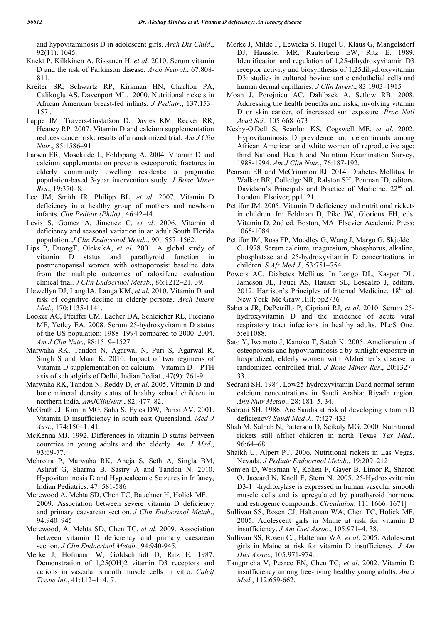and hypovitaminosis D in adolescent girls. *Arch Dis Child*., 92(11): 1045.

- Knekt P, Kilkkinen A, Rissanen H, *et al*. 2010. Serum vitamin D and the risk of Parkinson disease. *Arch Neurol*., 67:808- 811.
- Kreiter SR, Schwartz RP, Kirkman HN, Charlton PA, Calikoglu AS, Davenport ML. 2000. Nutritional rickets in African American breast-fed infants. *J Pediatr*., 137:153– 157 .
- Lappe JM, Travers-Gustafson D, Davies KM, Recker RR, Heaney RP. 2007. Vitamin D and calcium supplementation reduces cancer risk: results of a randomized trial. *Am J Clin Nutr*., 85:1586–91
- Larsen ER, Mosekilde L, Foldspang A. 2004. Vitamin D and calcium supplementation prevents osteoporotic fractures in elderly community dwelling residents: a pragmatic population-based 3-year intervention study. *J Bone Miner Res*., 19:370–8.
- Lee JM, Smith JR, Philipp BL, *et al*. 2007. Vitamin D deficiency in a healthy group of mothers and newborn infants. *Clin Pediatr (Phila)*., 46:42-44.
- Levis S, Gomez A, Jimenez C, *et al*. 2006. Vitamin d deficiency and seasonal variation in an adult South Florida population. *J Clin Endocrinol Metab*., 90;1557–1562.
- Lips P, DuongT, OleksikA, *et al*. 2001. A global study of vitamin D status and parathyroid function in postmenopausal women with osteoporosis: baseline data from the multiple outcomes of raloxifene evaluation clinical trial. *J Clin Endocrinol Metab*., 86:1212–21. 39.
- Llewellyn DJ, Lang IA, Langa KM, *et al*. 2010. Vitamin D and risk of cognitive decline in elderly persons. *Arch Intern Med*., 170:1135-1141.
- Looker AC, Pfeiffer CM, Lacher DA, Schleicher RL, Picciano MF, Yetley EA. 2008. Serum 25-hydroxyvitamin D status of the US population: 1988–1994 compared to 2000–2004. *Am J Clin Nutr*., 88:1519–1527
- Marwaha RK, Tandon N, Agarwal N, Puri S, Agarwal R, Singh S and Mani K. 2010. Impact of two regimens of Vitamin D supplementation on calcium - Vitamin D – PTH axis of schoolgirls of Delhi, Indian Pediat., 47(9): 761-9
- Marwaha RK, Tandon N, Reddy D, *et al*. 2005. Vitamin D and bone mineral density status of healthy school children in northern India. *AmJClinNutr*., 82: 477–82.
- McGrath JJ, Kimlin MG, Saha S, Eyles DW, Parisi AV. 2001. Vitamin D insufficiency in south-east Queensland. *Med J Aust*., 174:150–1. 41.
- McKenna MJ. 1992. Differences in vitamin D status between countries in young adults and the elderly. *Am J Med*., 93:69-77.
- Mehrotra P, Marwaha RK, Aneja S, Seth A, Singla BM, Ashraf G, Sharma B, Sastry A and Tandon N. 2010. Hypovitaminosis D and Hypocalcemic Seizures in Infancy, Indian Pediatrics. 47: 581-586
- Merewood A, Mehta SD, Chen TC, Bauchner H, Holick MF. 2009. Association between severe vitamin D deficiency and primary caesarean section. *J Clin Endocrinol Metab*., 94:940–945
- Merewood, A, Mehta SD, Chen TC, *et al*. 2009. Association between vitamin D deficiency and primary caesarean section. *J Clin Endocrinol Metab*., 94:940-945.
- Merke J, Hofmann W, Goldschmidt D, Ritz E. 1987. Demonstration of 1,25(OH)2 vitamin D3 receptors and actions in vascular smooth muscle cells in vitro. *Calcif Tissue Int*., 41:112–114. 7.
- Merke J, Milde P, Lewicka S, Hugel U, Klaus G, Mangelsdorf DJ, Haussler MR, Rauterberg EW, Ritz E. 1989. Identification and regulation of 1,25-dihydroxyvitamin D3 receptor activity and biosynthesis of 1,25dihydroxyvitamin D3: studies in cultured bovine aortic endothelial cells and human dermal capillaries. *J Clin Invest*., 83:1903–1915
- Moan J, Porojnicu AC, Dahlback A, Setlow RB. 2008. Addressing the health benefits and risks, involving vitamin D or skin cancer, of increased sun exposure. *Proc Natl Acad Sci*., 105:668–673
- Nesby-O'Dell S, Scanlon KS, Cogswell ME, *et al*. 2002. Hypovitaminosis D prevalence and determinants among African American and white women of reproductive age: third National Health and Nutrition Examination Survey, 1988-1994. *Am J Clin Nutr*., 76:187-192.
- Pearson ER and McCrimmon RJ. 2014. Diabetes Mellitus. In Walker BR, Colledge NR, Ralston SH, Penman ID, editors. Davidson's Principals and Practice of Medicine. 22<sup>nd</sup> ed. London. Elseiver; pp1121
- Pettifor JM. 2005. Vitamin D deficiency and nutritional rickets in children. In: Feldman D, Pike JW, Glorieux FH, eds. Vitamin D. 2nd ed. Boston, MA: Elsevier Academic Press; 1065-1084.
- Pettifor JM, Ross FP, Moodley G, Wang J, Margo G, Skjolde C. 1978. Serum calcium, magnesium, phosphorus, alkaline, phosphatase and 25-hydroxyvitamin D concentrations in children. *S Afr Med J.,* 53:751–754
- Powers AC. Diabetes Mellitus. In Longo DL, Kasper DL, Jameson JL, Fauci AS, Hauser SL, Loscalzo J, editors. 2012. Harrison's Principles of Internal Medicine.  $18<sup>th</sup>$  ed. New York. Mc Graw Hill; pp2736
- Sabetta JR, DePetrillo P, Cipriani RJ, *et al*. 2010. Serum 25 hydroxyvitamin D and the incidence of acute viral respiratory tract infections in healthy adults. PLoS One. 5:e11088.
- Sato Y, Iwamoto J, Kanoko T, Satoh K. 2005. Amelioration of osteoporosis and hypovitaminosis d by sunlight exposure in hospitalized, elderly women with Alzheimer's disease: a randomized controlled trial. *J Bone Miner Res*., 20:1327– 33.
- Sedrani SH. 1984. Low25-hydroxyvitamin Dand normal serum calcium concentrations in Saudi Arabia: Riyadh region. *Ann Nutr Metab*., 28: 181–5. 34.
- Sedrani SH. 1986. Are Saudis at risk of developing vitamin D deficiency? *Saudi Med J*., 7:427-433.
- Shah M, Salhab N, Patterson D, Seikaly MG. 2000. Nutritional rickets still afflict children in north Texas. *Tex Med*., 96:64–68.
- Shaikh U, Alpert PT. 2006. Nutritional rickets in Las Vegas, Nevada. *J Pediatr Endocrinol Metab*., 19:209–212
- Somjen D, Weisman Y, Kohen F, Gayer B, Limor R, Sharon O, Jaccard N, Knoll E, Stern N. 2005. 25-Hydroxyvitamin D3-1 -hydroxylase is expressed in human vascular smooth muscle cells and is upregulated by parathyroid hormone and estrogenic compounds. *Circulation*, 111:1666–1671]
- Sullivan SS, Rosen CJ, Halteman WA, Chen TC, Holick MF. 2005. Adolescent girls in Maine at risk for vitamin D insufficiency. *J Am Diet Assoc*., 105:971–4. 38.
- Sullivan SS, Rosen CJ, Halteman WA, *et al*. 2005. Adolescent girls in Maine at risk for vitamin D insufficiency. *J Am Diet Assoc*., 105:971-974.
- Tangpricha V, Pearce EN, Chen TC, *et al*. 2002. Vitamin D insufficiency among free-living healthy young adults. *Am J Med*., 112:659-662.